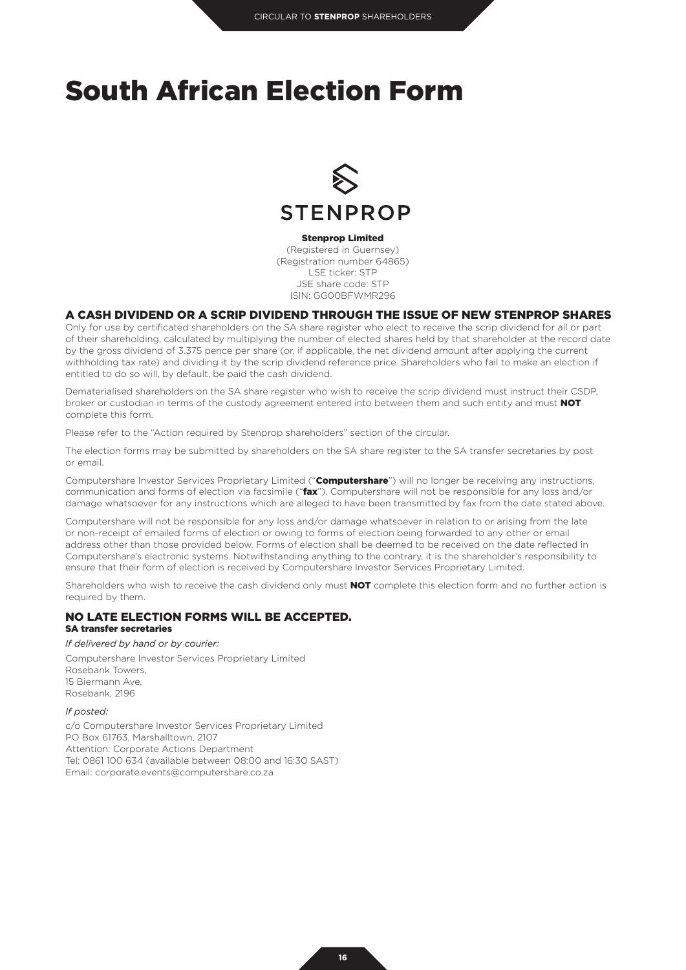# South African Election Form



Stenprop Limited

(Registered in Guernsey) (Registration number 64865) LSE ticker: STP JSE share code: STP ISIN: GG00BFWMR296

# A CASH DIVIDEND OR A SCRIP DIVIDEND THROUGH THE ISSUE OF NEW STENPROP SHARES

Only for use by certificated shareholders on the SA share register who elect to receive the scrip dividend for all or part of their shareholding, calculated by multiplying the number of elected shares held by that shareholder at the record date by the gross dividend of 3.375 pence per share (or, if applicable, the net dividend amount after applying the current withholding tax rate) and dividing it by the scrip dividend reference price. Shareholders who fail to make an election if entitled to do so will, by default, be paid the cash dividend.

Dematerialised shareholders on the SA share register who wish to receive the scrip dividend must instruct their CSDP, broker or custodian in terms of the custody agreement entered into between them and such entity and must **NOT** complete this form.

Please refer to the "Action required by Stenprop shareholders" section of the circular.

The election forms may be submitted by shareholders on the SA share register to the SA transfer secretaries by post or email.

Computershare Investor Services Proprietary Limited ("Computershare") will no longer be receiving any instructions, communication and forms of election via facsimile ("**fax**"). Computershare will not be responsible for any loss and/or damage whatsoever for any instructions which are alleged to have been transmitted by fax from the date stated above.

Computershare will not be responsible for any loss and/or damage whatsoever in relation to or arising from the late or non-receipt of emailed forms of election or owing to forms of election being forwarded to any other or email address other than those provided below. Forms of election shall be deemed to be received on the date reflected in Computershare's electronic systems. Notwithstanding anything to the contrary, it is the shareholder's responsibility to ensure that their form of election is received by Computershare Investor Services Proprietary Limited.

Shareholders who wish to receive the cash dividend only must NOT complete this election form and no further action is required by them.

# NO LATE ELECTION FORMS WILL BE ACCEPTED.

# SA transfer secretaries

*If delivered by hand or by courier:*

Computershare Investor Services Proprietary Limited Rosebank Towers, 15 Biermann Ave, Rosebank, 2196

#### *If posted:*

c/o Computershare Investor Services Proprietary Limited PO Box 61763, Marshalltown, 2107 Attention: Corporate Actions Department Tel: 0861 100 634 (available between 08:00 and 16:30 SAST) Email: corporate.events@computershare.co.za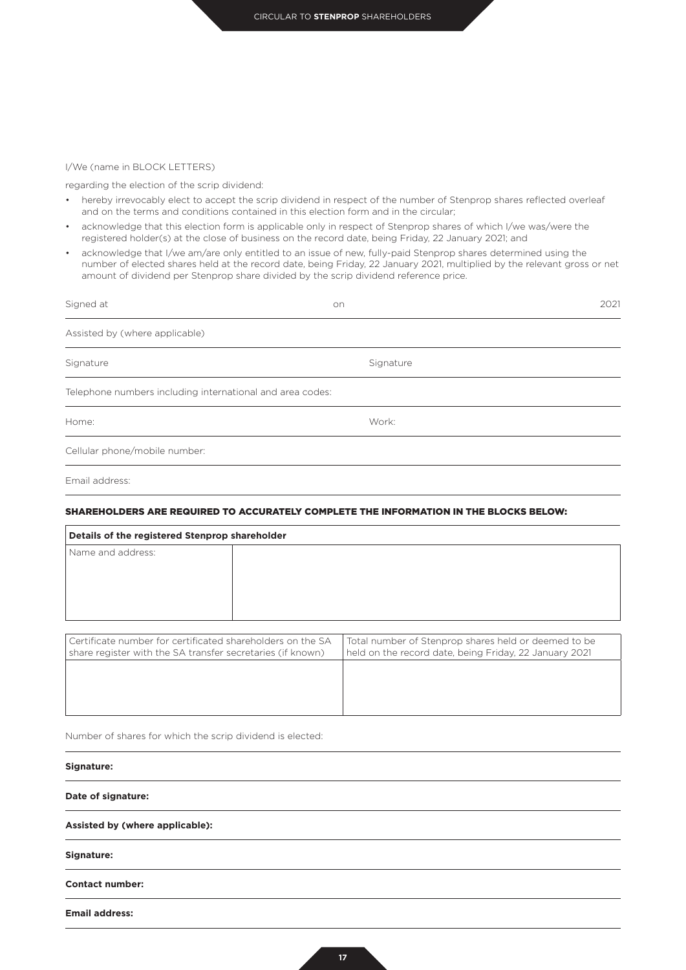## I/We (name in BLOCK LETTERS)

regarding the election of the scrip dividend:

- hereby irrevocably elect to accept the scrip dividend in respect of the number of Stenprop shares reflected overleaf and on the terms and conditions contained in this election form and in the circular;
- acknowledge that this election form is applicable only in respect of Stenprop shares of which I/we was/were the registered holder(s) at the close of business on the record date, being Friday, 22 January 2021; and
- acknowledge that I/we am/are only entitled to an issue of new, fully-paid Stenprop shares determined using the number of elected shares held at the record date, being Friday, 22 January 2021, multiplied by the relevant gross or net amount of dividend per Stenprop share divided by the scrip dividend reference price.

| Signed at                                                 | on        | 2021 |
|-----------------------------------------------------------|-----------|------|
| Assisted by (where applicable)                            |           |      |
| Signature                                                 | Signature |      |
| Telephone numbers including international and area codes: |           |      |
| Home:                                                     | Work:     |      |
| Cellular phone/mobile number:                             |           |      |
| Email address:                                            |           |      |

# SHAREHOLDERS ARE REQUIRED TO ACCURATELY COMPLETE THE INFORMATION IN THE BLOCKS BELOW:

| Details of the registered Stenprop shareholder             |  |                                                        |  |
|------------------------------------------------------------|--|--------------------------------------------------------|--|
| Name and address:                                          |  |                                                        |  |
|                                                            |  |                                                        |  |
|                                                            |  |                                                        |  |
|                                                            |  |                                                        |  |
|                                                            |  |                                                        |  |
|                                                            |  |                                                        |  |
| Certificate number for certificated shareholders on the SA |  | Total number of Stenprop shares held or deemed to be   |  |
| share register with the SA transfer secretaries (if known) |  | held on the record date, being Friday, 22 January 2021 |  |
|                                                            |  |                                                        |  |
|                                                            |  |                                                        |  |

Number of shares for which the scrip dividend is elected:

### **Signature:**

**Date of signature:**

**Assisted by (where applicable):**

**Signature:**

**Contact number:**

**Email address:**